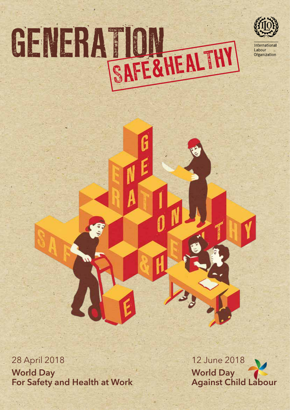# GENERATION SAFE



International Labour<br>Crganization

28 April 2018 **World Day For Safety and Health at Work**

12 June 2018 **World Day Against Child Labour**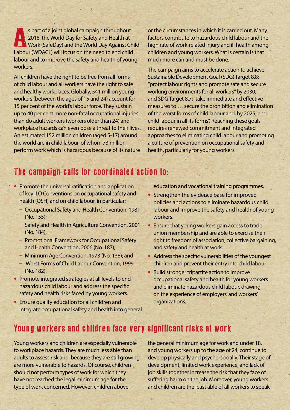A s part of a joint global campaign throughout 2018, the World Day for Safety and Health at Work (SafeDay) and the World Day Against Child Labour (WDACL) will focus on the need to end child labour and to improve the safety and health of young workers.

All children have the right to be free from all forms of child labour and all workers have the right to safe and healthy workplaces. Globally, 541 million young workers (between the ages of 15 and 24) account for 15 per cent of the world's labour force. They sustain up to 40 per cent more non-fatal occupational injuries than do adult workers (workers older than 24) and workplace hazards can even pose a threat to their lives. An estimated 152 million children (aged 5-17) around the world are in child labour, of whom 73 million perform work which is hazardous because of its nature

or the circumstances in which it is carried out. Many factors contribute to hazardous child labour and the high rate of work-related injury and ill health among children and young workers. What is certain is that much more can and must be done.

The campaign aims to accelerate action to achieve Sustainable Development Goal (SDG) Target 8.8: "protect labour rights and promote safe and secure working environments for all workers" by 2030; and SDG Target 8.7: "take immediate and effective measures to … secure the prohibition and elimination of the worst forms of child labour and, by 2025, end child labour in all its forms". Reaching these goals requires renewed commitment and integrated approaches to eliminating child labour and promoting a culture of prevention on occupational safety and health, particularly for young workers.

### The campaign calls for coordinated action to:

- Promote the universal ratification and application of key ILO Conventions on occupational safety and health (OSH) and on child labour, in particular:
	- Occupational Safety and Health Convention, 1981 (No. 155);
	- Safety and Health in Agriculture Convention, 2001 (No. 184),
	- Promotional Framework for Occupational Safety and Health Convention, 2006 (No. 187);
	- Minimum Age Convention, 1973 (No. 138); and
	- ū Worst Forms of Child Labour Convention, 1999 (No. 182).
- Promote integrated strategies at all levels to end hazardous child labour and address the specific safety and health risks faced by young workers.
- Ensure quality education for all children and integrate occupational safety and health into general

education and vocational training programmes.

- Strengthen the evidence base for improved policies and actions to eliminate hazardous child labour and improve the safety and health of young workers.
- Ensure that young workers gain access to trade union membership and are able to exercise their right to freedom of association, collective bargaining, and safety and health at work.
- Address the specific vulnerabilities of the youngest children and prevent their entry into child labour
- Build stronger tripartite action to improve occupational safety and health for young workers and eliminate hazardous child labour, drawing on the experience of employers' and workers' organizations.

# Young workers and children face very significant risks at work

Young workers and children are especially vulnerable to workplace hazards. They are much less able than adults to assess risk and, because they are still growing, are more vulnerable to hazards. Of course, children should not perform types of work for which they have not reached the legal minimum age for the type of work concerned. However, children above

the general minimum age for work and under 18, and young workers up to the age of 24, continue to develop physically and psycho-socially. Their stage of development, limited work experience, and lack of job skills together increase the risk that they face of suffering harm on the job. Moreover, young workers and children are the least able of all workers to speak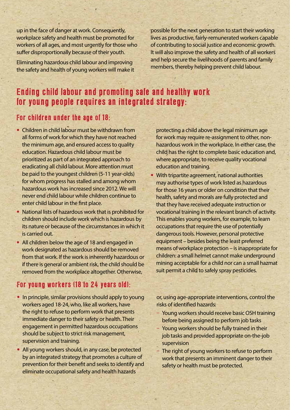up in the face of danger at work. Consequently, workplace safety and health must be promoted for workers of all ages, and most urgently for those who suffer disproportionally because of their youth.

Eliminating hazardous child labour and improving the safety and health of young workers will make it possible for the next generation to start their working lives as productive, fairly-remunerated workers capable of contributing to social justice and economic growth. It will also improve the safety and health of all workers and help secure the livelihoods of parents and family members, thereby helping prevent child labour.

## Ending child labour and promoting safe and healthy work for young people requires an integrated strategy:

### For children under the age of 18:

- Children in child labour must be withdrawn from all forms of work for which they have not reached the minimum age, and ensured access to quality education. Hazardous child labour must be prioritized as part of an integrated approach to eradicating all child labour. More attention must be paid to the youngest children (5-11 year-olds) for whom progress has stalled and among whom hazardous work has increased since 2012. We will never end child labour while children continue to enter child labour in the first place.
- National lists of hazardous work that is prohibited for children should include work which is hazardous by its nature or because of the circumstances in which it is carried out.
- All children below the age of 18 and engaged in work designated as hazardous should be removed from that work. If the work is inherently hazardous or if there is general or ambient risk, the child should be removed from the workplace altogether. Otherwise,

### For young workers (18 to 24 years old):

- In principle, similar provisions should apply to young workers aged 18-24, who, like all workers, have the right to refuse to perform work that presents immediate danger to their safety or health. Their engagement in permitted hazardous occupations should be subject to strict risk management, supervision and training.
- All young workers should, in any case, be protected by an integrated strategy that promotes a culture of prevention for their benefit and seeks to identify and eliminate occupational safety and health hazards

protecting a child above the legal minimum age for work may require re-assignment to other, nonhazardous work in the workplace. In either case, the child has the right to complete basic education and, where appropriate, to receive quality vocational education and training.

• With tripartite agreement, national authorities may authorise types of work listed as hazardous for those 16 years or older on condition that their health, safety and morals are fully protected and that they have received adequate instruction or vocational training in the relevant branch of activity. This enables young workers, for example, to learn occupations that require the use of potentially dangerous tools. However, personal protective equipment – besides being the least preferred means of workplace protection – is inappropriate for children: a small helmet cannot make underground mining acceptable for a child nor can a small hazmat suit permit a child to safely spray pesticides.

or, using age-appropriate interventions, control the risks of identified hazards:

- Young workers should receive basic OSH training before being assigned to perform job tasks
- Young workers should be fully trained in their job tasks and provided appropriate on-the-job supervision
- The right of young workers to refuse to perform work that presents an imminent danger to their safety or health must be protected.